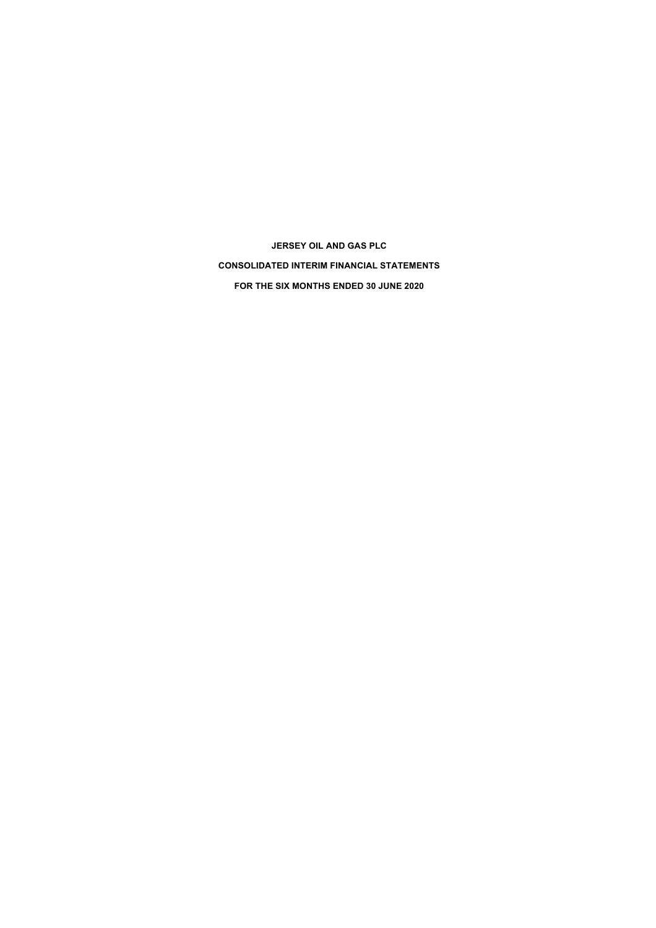**JERSEY OIL AND GAS PLC CONSOLIDATED INTERIM FINANCIAL STATEMENTS FOR THE SIX MONTHS ENDED 30 JUNE 2020**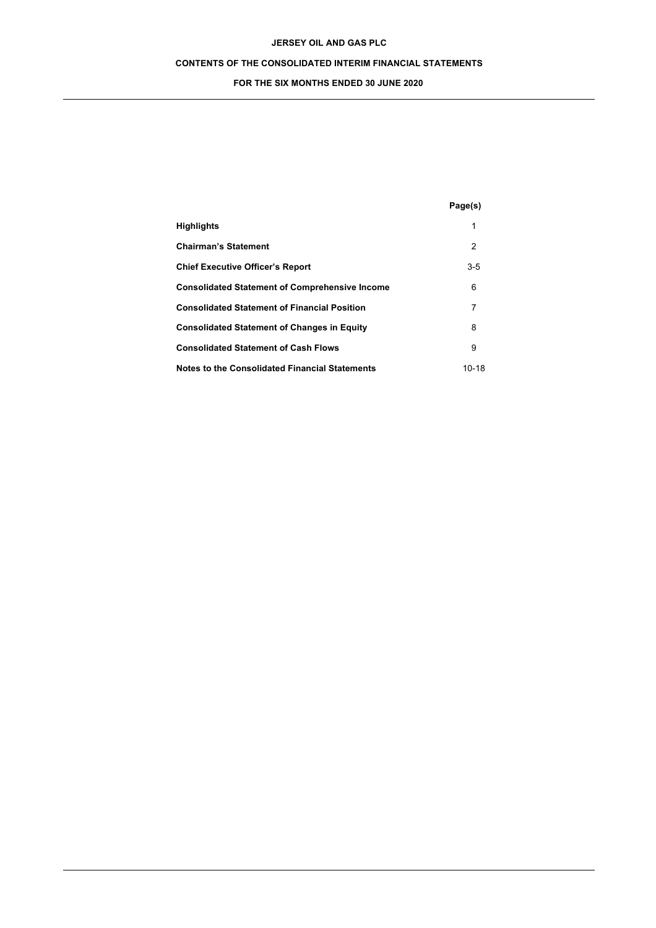# **CONTENTS OF THE CONSOLIDATED INTERIM FINANCIAL STATEMENTS**

# **FOR THE SIX MONTHS ENDED 30 JUNE 2020**

|                                                       | Page(s) |
|-------------------------------------------------------|---------|
| <b>Highlights</b>                                     | 1       |
| <b>Chairman's Statement</b>                           | 2       |
| <b>Chief Executive Officer's Report</b>               | $3-5$   |
| <b>Consolidated Statement of Comprehensive Income</b> | 6       |
| <b>Consolidated Statement of Financial Position</b>   | 7       |
| <b>Consolidated Statement of Changes in Equity</b>    | 8       |
| <b>Consolidated Statement of Cash Flows</b>           | 9       |
| Notes to the Consolidated Financial Statements        | 10-18   |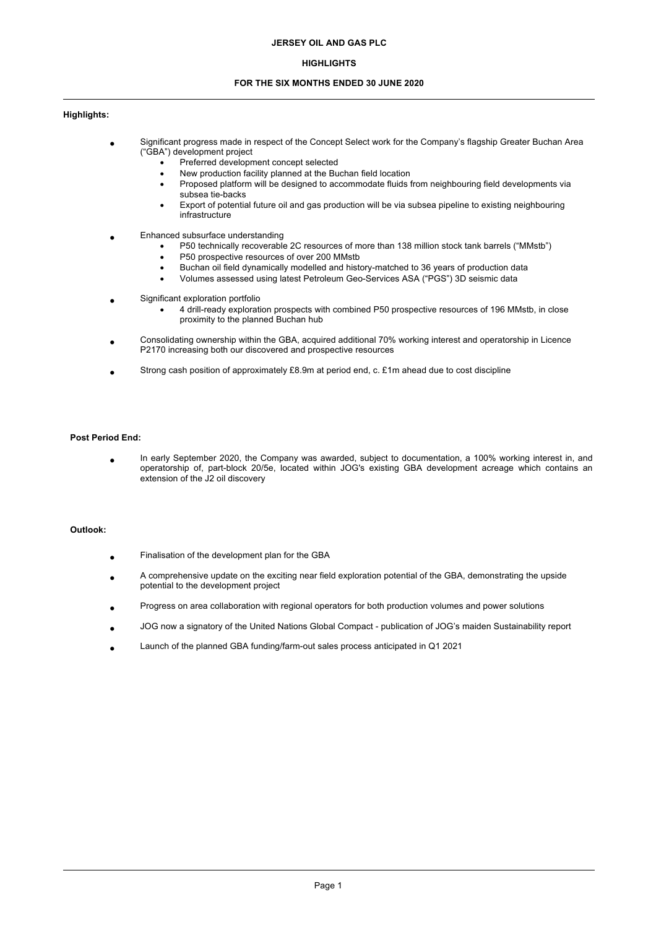# **HIGHLIGHTS**

# **FOR THE SIX MONTHS ENDED 30 JUNE 2020**

## **Highlights:**

- **•** Significant progress made in respect of the Concept Select work for the Company's flagship Greater Buchan Area ("GBA") development project
	- Preferred development concept selected
	- New production facility planned at the Buchan field location
	- Proposed platform will be designed to accommodate fluids from neighbouring field developments via subsea tie-backs
	- Export of potential future oil and gas production will be via subsea pipeline to existing neighbouring infrastructure
- **•** Enhanced subsurface understanding
	- P50 technically recoverable 2C resources of more than 138 million stock tank barrels ("MMstb")
	- P50 prospective resources of over 200 MMstb
	- Buchan oil field dynamically modelled and history-matched to 36 years of production data
	- Volumes assessed using latest Petroleum Geo-Services ASA ("PGS") 3D seismic data
- **•** Significant exploration portfolio
	- 4 drill-ready exploration prospects with combined P50 prospective resources of 196 MMstb, in close proximity to the planned Buchan hub
- **•** Consolidating ownership within the GBA, acquired additional 70% working interest and operatorship in Licence P2170 increasing both our discovered and prospective resources
- **•** Strong cash position of approximately £8.9m at period end, c. £1m ahead due to cost discipline

# **Post Period End:**

**•** In early September 2020, the Company was awarded, subject to documentation, a 100% working interest in, and operatorship of, part-block 20/5e, located within JOG's existing GBA development acreage which contains an extension of the J2 oil discovery

## **Outlook:**

- **•** Finalisation of the development plan for the GBA
- **•** A comprehensive update on the exciting near field exploration potential of the GBA, demonstrating the upside potential to the development project
- **•** Progress on area collaboration with regional operators for both production volumes and power solutions
- **•** JOG now a signatory of the United Nations Global Compact publication of JOG's maiden Sustainability report
- **•** Launch of the planned GBA funding/farm-out sales process anticipated in Q1 2021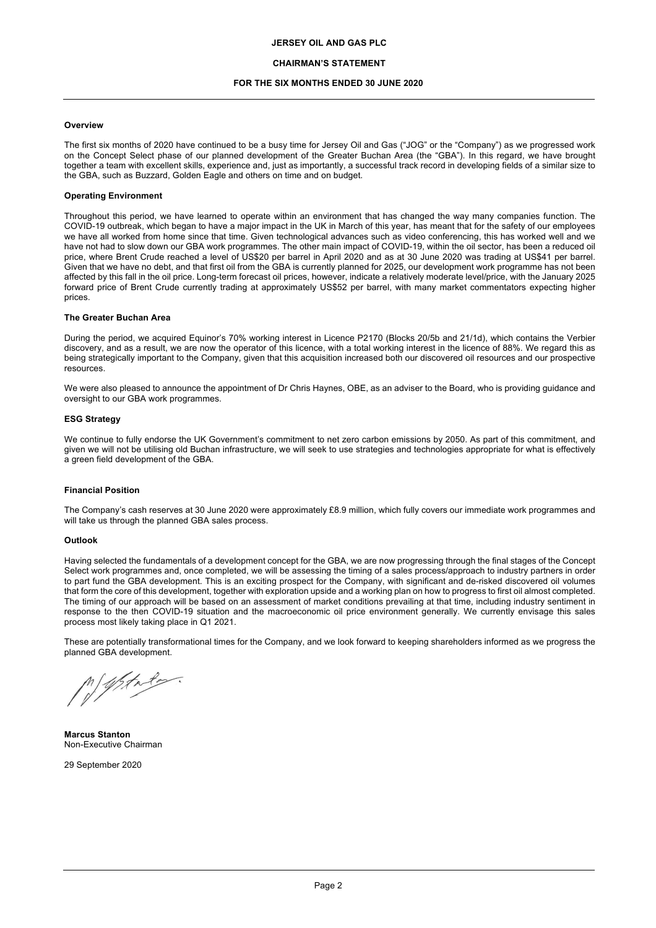### **CHAIRMAN'S STATEMENT**

## **FOR THE SIX MONTHS ENDED 30 JUNE 2020**

#### **Overview**

The first six months of 2020 have continued to be a busy time for Jersey Oil and Gas ("JOG" or the "Company") as we progressed work on the Concept Select phase of our planned development of the Greater Buchan Area (the "GBA"). In this regard, we have brought together a team with excellent skills, experience and, just as importantly, a successful track record in developing fields of a similar size to the GBA, such as Buzzard, Golden Eagle and others on time and on budget.

#### **Operating Environment**

Throughout this period, we have learned to operate within an environment that has changed the way many companies function. The COVID-19 outbreak, which began to have a major impact in the UK in March of this year, has meant that for the safety of our employees we have all worked from home since that time. Given technological advances such as video conferencing, this has worked well and we have not had to slow down our GBA work programmes. The other main impact of COVID-19, within the oil sector, has been a reduced oil price, where Brent Crude reached a level of US\$20 per barrel in April 2020 and as at 30 June 2020 was trading at US\$41 per barrel. Given that we have no debt, and that first oil from the GBA is currently planned for 2025, our development work programme has not been affected by this fall in the oil price. Long-term forecast oil prices, however, indicate a relatively moderate level/price, with the January 2025 forward price of Brent Crude currently trading at approximately US\$52 per barrel, with many market commentators expecting higher prices.

#### **The Greater Buchan Area**

During the period, we acquired Equinor's 70% working interest in Licence P2170 (Blocks 20/5b and 21/1d), which contains the Verbier discovery, and as a result, we are now the operator of this licence, with a total working interest in the licence of 88%. We regard this as being strategically important to the Company, given that this acquisition increased both our discovered oil resources and our prospective resources.

We were also pleased to announce the appointment of Dr Chris Haynes, OBE, as an adviser to the Board, who is providing guidance and oversight to our GBA work programmes.

#### **ESG Strategy**

We continue to fully endorse the UK Government's commitment to net zero carbon emissions by 2050. As part of this commitment, and given we will not be utilising old Buchan infrastructure, we will seek to use strategies and technologies appropriate for what is effectively a green field development of the GBA.

### **Financial Position**

The Company's cash reserves at 30 June 2020 were approximately £8.9 million, which fully covers our immediate work programmes and will take us through the planned GBA sales process.

#### **Outlook**

Having selected the fundamentals of a development concept for the GBA, we are now progressing through the final stages of the Concept Select work programmes and, once completed, we will be assessing the timing of a sales process/approach to industry partners in order to part fund the GBA development. This is an exciting prospect for the Company, with significant and de-risked discovered oil volumes that form the core of this development, together with exploration upside and a working plan on how to progress to first oil almost completed. The timing of our approach will be based on an assessment of market conditions prevailing at that time, including industry sentiment in response to the then COVID-19 situation and the macroeconomic oil price environment generally. We currently envisage this sales process most likely taking place in Q1 2021.

These are potentially transformational times for the Company, and we look forward to keeping shareholders informed as we progress the planned GBA development.

Whate

**Marcus Stanton** Non-Executive Chairman

29 September 2020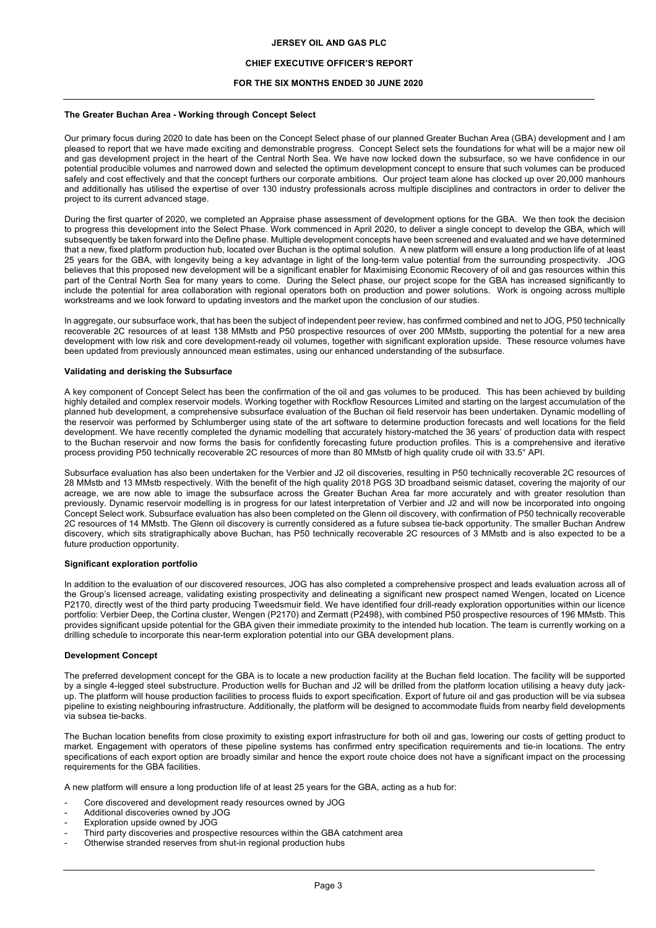# **CHIEF EXECUTIVE OFFICER'S REPORT**

# **FOR THE SIX MONTHS ENDED 30 JUNE 2020**

## **The Greater Buchan Area - Working through Concept Select**

Our primary focus during 2020 to date has been on the Concept Select phase of our planned Greater Buchan Area (GBA) development and I am pleased to report that we have made exciting and demonstrable progress. Concept Select sets the foundations for what will be a major new oil and gas development project in the heart of the Central North Sea. We have now locked down the subsurface, so we have confidence in our potential producible volumes and narrowed down and selected the optimum development concept to ensure that such volumes can be produced safely and cost effectively and that the concept furthers our corporate ambitions. Our project team alone has clocked up over 20,000 manhours and additionally has utilised the expertise of over 130 industry professionals across multiple disciplines and contractors in order to deliver the project to its current advanced stage.

During the first quarter of 2020, we completed an Appraise phase assessment of development options for the GBA. We then took the decision to progress this development into the Select Phase. Work commenced in April 2020, to deliver a single concept to develop the GBA, which will subsequently be taken forward into the Define phase. Multiple development concepts have been screened and evaluated and we have determined that a new, fixed platform production hub, located over Buchan is the optimal solution. A new platform will ensure a long production life of at least 25 years for the GBA, with longevity being a key advantage in light of the long-term value potential from the surrounding prospectivity. JOG believes that this proposed new development will be a significant enabler for Maximising Economic Recovery of oil and gas resources within this part of the Central North Sea for many years to come. During the Select phase, our project scope for the GBA has increased significantly to include the potential for area collaboration with regional operators both on production and power solutions. Work is ongoing across multiple workstreams and we look forward to updating investors and the market upon the conclusion of our studies.

In aggregate, our subsurface work, that has been the subject of independent peer review, has confirmed combined and net to JOG, P50 technically recoverable 2C resources of at least 138 MMstb and P50 prospective resources of over 200 MMstb, supporting the potential for a new area development with low risk and core development-ready oil volumes, together with significant exploration upside. These resource volumes have been updated from previously announced mean estimates, using our enhanced understanding of the subsurface.

### **Validating and derisking the Subsurface**

A key component of Concept Select has been the confirmation of the oil and gas volumes to be produced. This has been achieved by building highly detailed and complex reservoir models. Working together with Rockflow Resources Limited and starting on the largest accumulation of the planned hub development, a comprehensive subsurface evaluation of the Buchan oil field reservoir has been undertaken. Dynamic modelling of the reservoir was performed by Schlumberger using state of the art software to determine production forecasts and well locations for the field development. We have recently completed the dynamic modelling that accurately history-matched the 36 years' of production data with respect to the Buchan reservoir and now forms the basis for confidently forecasting future production profiles. This is a comprehensive and iterative process providing P50 technically recoverable 2C resources of more than 80 MMstb of high quality crude oil with 33.5° API.

Subsurface evaluation has also been undertaken for the Verbier and J2 oil discoveries, resulting in P50 technically recoverable 2C resources of 28 MMstb and 13 MMstb respectively. With the benefit of the high quality 2018 PGS 3D broadband seismic dataset, covering the majority of our acreage, we are now able to image the subsurface across the Greater Buchan Area far more accurately and with greater resolution than previously. Dynamic reservoir modelling is in progress for our latest interpretation of Verbier and J2 and will now be incorporated into ongoing Concept Select work. Subsurface evaluation has also been completed on the Glenn oil discovery, with confirmation of P50 technically recoverable 2C resources of 14 MMstb. The Glenn oil discovery is currently considered as a future subsea tie-back opportunity. The smaller Buchan Andrew discovery, which sits stratigraphically above Buchan, has P50 technically recoverable 2C resources of 3 MMstb and is also expected to be a future production opportunity.

## **Significant exploration portfolio**

In addition to the evaluation of our discovered resources, JOG has also completed a comprehensive prospect and leads evaluation across all of the Group's licensed acreage, validating existing prospectivity and delineating a significant new prospect named Wengen, located on Licence P2170, directly west of the third party producing Tweedsmuir field. We have identified four drill-ready exploration opportunities within our licence portfolio: Verbier Deep, the Cortina cluster, Wengen (P2170) and Zermatt (P2498), with combined P50 prospective resources of 196 MMstb. This provides significant upside potential for the GBA given their immediate proximity to the intended hub location. The team is currently working on a drilling schedule to incorporate this near-term exploration potential into our GBA development plans.

## **Development Concept**

The preferred development concept for the GBA is to locate a new production facility at the Buchan field location. The facility will be supported by a single 4-legged steel substructure. Production wells for Buchan and J2 will be drilled from the platform location utilising a heavy duty jackup. The platform will house production facilities to process fluids to export specification. Export of future oil and gas production will be via subsea pipeline to existing neighbouring infrastructure. Additionally, the platform will be designed to accommodate fluids from nearby field developments via subsea tie-backs.

The Buchan location benefits from close proximity to existing export infrastructure for both oil and gas, lowering our costs of getting product to market. Engagement with operators of these pipeline systems has confirmed entry specification requirements and tie-in locations. The entry specifications of each export option are broadly similar and hence the export route choice does not have a significant impact on the processing requirements for the GBA facilities.

A new platform will ensure a long production life of at least 25 years for the GBA, acting as a hub for:

- Core discovered and development ready resources owned by JOG
- Additional discoveries owned by JOG
- Exploration upside owned by JOG
- Third party discoveries and prospective resources within the GBA catchment area
- Otherwise stranded reserves from shut-in regional production hubs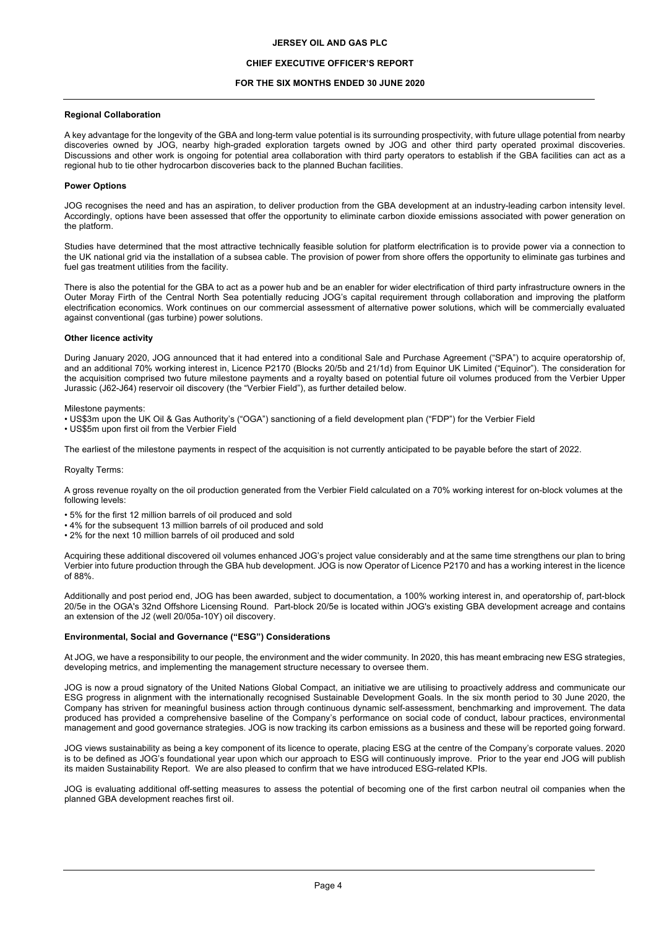# **CHIEF EXECUTIVE OFFICER'S REPORT**

## **FOR THE SIX MONTHS ENDED 30 JUNE 2020**

## **Regional Collaboration**

A key advantage for the longevity of the GBA and long-term value potential is its surrounding prospectivity, with future ullage potential from nearby discoveries owned by JOG, nearby high-graded exploration targets owned by JOG and other third party operated proximal discoveries. Discussions and other work is ongoing for potential area collaboration with third party operators to establish if the GBA facilities can act as a regional hub to tie other hydrocarbon discoveries back to the planned Buchan facilities.

## **Power Options**

JOG recognises the need and has an aspiration, to deliver production from the GBA development at an industry-leading carbon intensity level. Accordingly, options have been assessed that offer the opportunity to eliminate carbon dioxide emissions associated with power generation on the platform.

Studies have determined that the most attractive technically feasible solution for platform electrification is to provide power via a connection to the UK national grid via the installation of a subsea cable. The provision of power from shore offers the opportunity to eliminate gas turbines and fuel gas treatment utilities from the facility.

There is also the potential for the GBA to act as a power hub and be an enabler for wider electrification of third party infrastructure owners in the Outer Moray Firth of the Central North Sea potentially reducing JOG's capital requirement through collaboration and improving the platform electrification economics. Work continues on our commercial assessment of alternative power solutions, which will be commercially evaluated against conventional (gas turbine) power solutions.

#### **Other licence activity**

During January 2020, JOG announced that it had entered into a conditional Sale and Purchase Agreement ("SPA") to acquire operatorship of, and an additional 70% working interest in, Licence P2170 (Blocks 20/5b and 21/1d) from Equinor UK Limited ("Equinor"). The consideration for the acquisition comprised two future milestone payments and a royalty based on potential future oil volumes produced from the Verbier Upper Jurassic (J62-J64) reservoir oil discovery (the "Verbier Field"), as further detailed below.

Milestone payments:

- US\$3m upon the UK Oil & Gas Authority's ("OGA") sanctioning of a field development plan ("FDP") for the Verbier Field
- US\$5m upon first oil from the Verbier Field

The earliest of the milestone payments in respect of the acquisition is not currently anticipated to be payable before the start of 2022.

#### Royalty Terms:

A gross revenue royalty on the oil production generated from the Verbier Field calculated on a 70% working interest for on-block volumes at the following levels:

- 5% for the first 12 million barrels of oil produced and sold
- 4% for the subsequent 13 million barrels of oil produced and sold
- 2% for the next 10 million barrels of oil produced and sold

Acquiring these additional discovered oil volumes enhanced JOG's project value considerably and at the same time strengthens our plan to bring Verbier into future production through the GBA hub development. JOG is now Operator of Licence P2170 and has a working interest in the licence of 88%.

Additionally and post period end, JOG has been awarded, subject to documentation, a 100% working interest in, and operatorship of, part-block 20/5e in the OGA's 32nd Offshore Licensing Round. Part-block 20/5e is located within JOG's existing GBA development acreage and contains an extension of the J2 (well 20/05a-10Y) oil discovery.

#### **Environmental, Social and Governance ("ESG") Considerations**

At JOG, we have a responsibility to our people, the environment and the wider community. In 2020, this has meant embracing new ESG strategies, developing metrics, and implementing the management structure necessary to oversee them.

JOG is now a proud signatory of the United Nations Global Compact, an initiative we are utilising to proactively address and communicate our ESG progress in alignment with the internationally recognised Sustainable Development Goals. In the six month period to 30 June 2020, the Company has striven for meaningful business action through continuous dynamic self-assessment, benchmarking and improvement. The data produced has provided a comprehensive baseline of the Company's performance on social code of conduct, labour practices, environmental management and good governance strategies. JOG is now tracking its carbon emissions as a business and these will be reported going forward.

JOG views sustainability as being a key component of its licence to operate, placing ESG at the centre of the Company's corporate values. 2020 is to be defined as JOG's foundational year upon which our approach to ESG will continuously improve. Prior to the year end JOG will publish its maiden Sustainability Report. We are also pleased to confirm that we have introduced ESG-related KPIs.

JOG is evaluating additional off-setting measures to assess the potential of becoming one of the first carbon neutral oil companies when the planned GBA development reaches first oil.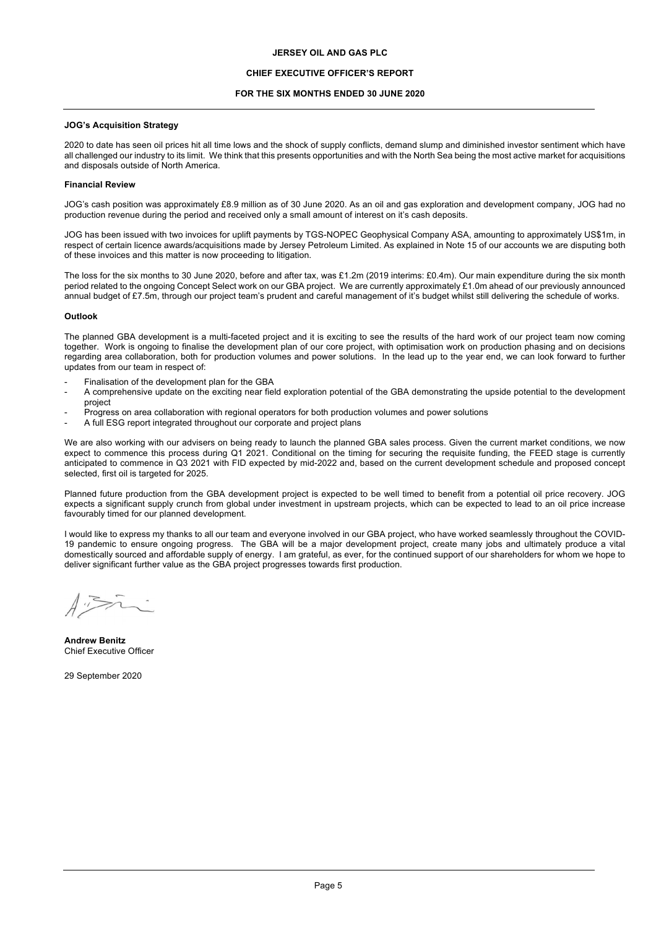## **CHIEF EXECUTIVE OFFICER'S REPORT**

### **FOR THE SIX MONTHS ENDED 30 JUNE 2020**

### **JOG's Acquisition Strategy**

2020 to date has seen oil prices hit all time lows and the shock of supply conflicts, demand slump and diminished investor sentiment which have all challenged our industry to its limit. We think that this presents opportunities and with the North Sea being the most active market for acquisitions and disposals outside of North America.

#### **Financial Review**

JOG's cash position was approximately £8.9 million as of 30 June 2020. As an oil and gas exploration and development company, JOG had no production revenue during the period and received only a small amount of interest on it's cash deposits.

JOG has been issued with two invoices for uplift payments by TGS-NOPEC Geophysical Company ASA, amounting to approximately US\$1m, in respect of certain licence awards/acquisitions made by Jersey Petroleum Limited. As explained in Note 15 of our accounts we are disputing both of these invoices and this matter is now proceeding to litigation.

The loss for the six months to 30 June 2020, before and after tax, was £1.2m (2019 interims: £0.4m). Our main expenditure during the six month period related to the ongoing Concept Select work on our GBA project. We are currently approximately £1.0m ahead of our previously announced annual budget of £7.5m, through our project team's prudent and careful management of it's budget whilst still delivering the schedule of works.

#### **Outlook**

The planned GBA development is a multi-faceted project and it is exciting to see the results of the hard work of our project team now coming together. Work is ongoing to finalise the development plan of our core project, with optimisation work on production phasing and on decisions regarding area collaboration, both for production volumes and power solutions. In the lead up to the year end, we can look forward to further updates from our team in respect of:

- Finalisation of the development plan for the GBA
- A comprehensive update on the exciting near field exploration potential of the GBA demonstrating the upside potential to the development project
- Progress on area collaboration with regional operators for both production volumes and power solutions
- A full ESG report integrated throughout our corporate and project plans

We are also working with our advisers on being ready to launch the planned GBA sales process. Given the current market conditions, we now expect to commence this process during Q1 2021. Conditional on the timing for securing the requisite funding, the FEED stage is currently anticipated to commence in Q3 2021 with FID expected by mid-2022 and, based on the current development schedule and proposed concept selected, first oil is targeted for 2025.

Planned future production from the GBA development project is expected to be well timed to benefit from a potential oil price recovery. JOG expects a significant supply crunch from global under investment in upstream projects, which can be expected to lead to an oil price increase favourably timed for our planned development.

I would like to express my thanks to all our team and everyone involved in our GBA project, who have worked seamlessly throughout the COVID-19 pandemic to ensure ongoing progress. The GBA will be a major development project, create many jobs and ultimately produce a vital domestically sourced and affordable supply of energy. I am grateful, as ever, for the continued support of our shareholders for whom we hope to deliver significant further value as the GBA project progresses towards first production.

**Andrew Benitz** Chief Executive Officer

29 September 2020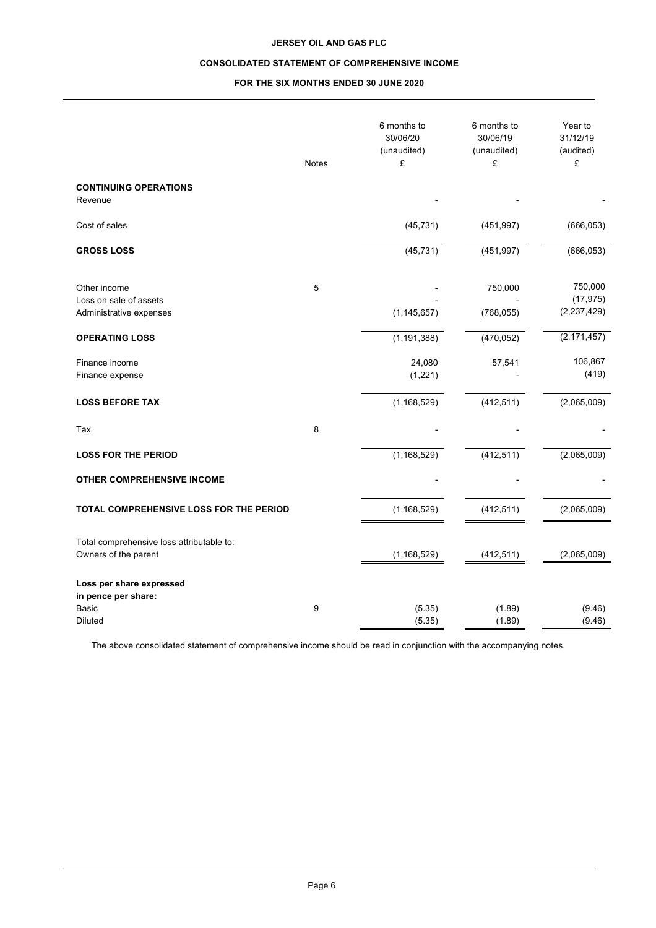# **CONSOLIDATED STATEMENT OF COMPREHENSIVE INCOME**

# **FOR THE SIX MONTHS ENDED 30 JUNE 2020**

|                                                                            | Notes | 6 months to<br>30/06/20<br>(unaudited)<br>£ | 6 months to<br>30/06/19<br>(unaudited)<br>£ | Year to<br>31/12/19<br>(audited)<br>£ |
|----------------------------------------------------------------------------|-------|---------------------------------------------|---------------------------------------------|---------------------------------------|
| <b>CONTINUING OPERATIONS</b><br>Revenue                                    |       |                                             |                                             |                                       |
| Cost of sales                                                              |       | (45, 731)                                   | (451, 997)                                  | (666, 053)                            |
| <b>GROSS LOSS</b>                                                          |       | (45, 731)                                   | (451, 997)                                  | (666, 053)                            |
| Other income<br>Loss on sale of assets<br>Administrative expenses          | 5     | (1, 145, 657)                               | 750,000<br>(768, 055)                       | 750,000<br>(17, 975)<br>(2, 237, 429) |
| <b>OPERATING LOSS</b>                                                      |       | (1, 191, 388)                               | (470, 052)                                  | (2, 171, 457)                         |
| Finance income<br>Finance expense                                          |       | 24,080<br>(1,221)                           | 57,541                                      | 106,867<br>(419)                      |
| <b>LOSS BEFORE TAX</b>                                                     |       | (1, 168, 529)                               | (412, 511)                                  | (2,065,009)                           |
| Tax                                                                        | 8     |                                             |                                             |                                       |
| <b>LOSS FOR THE PERIOD</b>                                                 |       | (1, 168, 529)                               | (412, 511)                                  | (2,065,009)                           |
| <b>OTHER COMPREHENSIVE INCOME</b>                                          |       |                                             |                                             |                                       |
| TOTAL COMPREHENSIVE LOSS FOR THE PERIOD                                    |       | (1, 168, 529)                               | (412, 511)                                  | (2,065,009)                           |
| Total comprehensive loss attributable to:<br>Owners of the parent          |       | (1, 168, 529)                               | (412, 511)                                  | (2,065,009)                           |
| Loss per share expressed<br>in pence per share:<br>Basic<br><b>Diluted</b> | 9     | (5.35)<br>(5.35)                            | (1.89)<br>(1.89)                            | (9.46)<br>(9.46)                      |

The above consolidated statement of comprehensive income should be read in conjunction with the accompanying notes.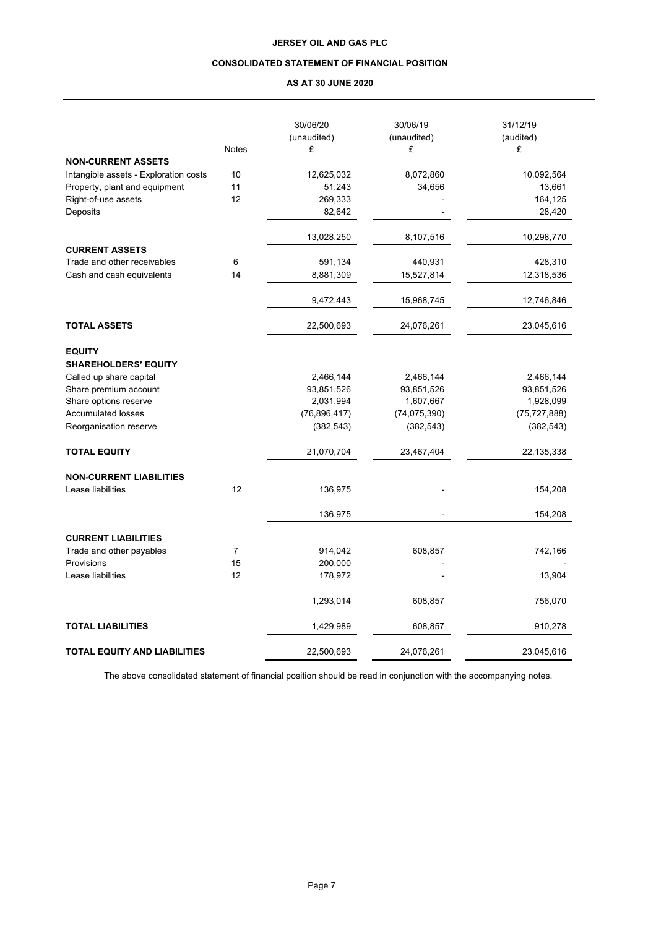# **CONSOLIDATED STATEMENT OF FINANCIAL POSITION**

# **AS AT 30 JUNE 2020**

|                                              | <b>Notes</b> | 30/06/20<br>(unaudited)<br>£ | 30/06/19<br>(unaudited)<br>£ | 31/12/19<br>(audited)<br>£ |
|----------------------------------------------|--------------|------------------------------|------------------------------|----------------------------|
| <b>NON-CURRENT ASSETS</b>                    |              |                              |                              |                            |
| Intangible assets - Exploration costs        | 10           | 12,625,032                   | 8,072,860                    | 10,092,564                 |
| Property, plant and equipment                | 11           | 51,243                       | 34,656                       | 13,661                     |
| Right-of-use assets                          | 12           | 269,333                      |                              | 164,125                    |
| Deposits                                     |              | 82,642                       |                              | 28,420                     |
|                                              |              | 13,028,250                   | 8,107,516                    | 10,298,770                 |
| <b>CURRENT ASSETS</b>                        |              |                              |                              |                            |
| Trade and other receivables                  | 6            | 591,134                      | 440,931                      | 428,310                    |
| Cash and cash equivalents                    | 14           | 8,881,309                    | 15,527,814                   | 12,318,536                 |
|                                              |              | 9,472,443                    | 15,968,745                   | 12,746,846                 |
| <b>TOTAL ASSETS</b>                          |              | 22,500,693                   | 24,076,261                   | 23,045,616                 |
| <b>EQUITY</b><br><b>SHAREHOLDERS' EQUITY</b> |              |                              |                              |                            |
| Called up share capital                      |              | 2,466,144                    | 2,466,144                    | 2,466,144                  |
| Share premium account                        |              | 93,851,526                   | 93,851,526                   | 93,851,526                 |
| Share options reserve                        |              | 2,031,994                    | 1,607,667                    | 1,928,099                  |
| <b>Accumulated losses</b>                    |              | (76, 896, 417)               | (74, 075, 390)               | (75, 727, 888)             |
| Reorganisation reserve                       |              | (382, 543)                   | (382, 543)                   | (382, 543)                 |
| <b>TOTAL EQUITY</b>                          |              | 21,070,704                   | 23,467,404                   | 22,135,338                 |
| <b>NON-CURRENT LIABILITIES</b>               |              |                              |                              |                            |
| Lease liabilities                            | 12           | 136,975                      |                              | 154,208                    |
|                                              |              | 136,975                      |                              | 154,208                    |
| <b>CURRENT LIABILITIES</b>                   |              |                              |                              |                            |
| Trade and other payables                     | 7            | 914,042                      | 608,857                      | 742,166                    |
| Provisions                                   | 15           | 200,000                      |                              |                            |
| Lease liabilities                            | 12           | 178,972                      |                              | 13,904                     |
|                                              |              | 1,293,014                    | 608,857                      | 756,070                    |
| <b>TOTAL LIABILITIES</b>                     |              | 1,429,989                    | 608,857                      | 910,278                    |
| <b>TOTAL EQUITY AND LIABILITIES</b>          |              | 22,500,693                   | 24,076,261                   | 23,045,616                 |

The above consolidated statement of financial position should be read in conjunction with the accompanying notes.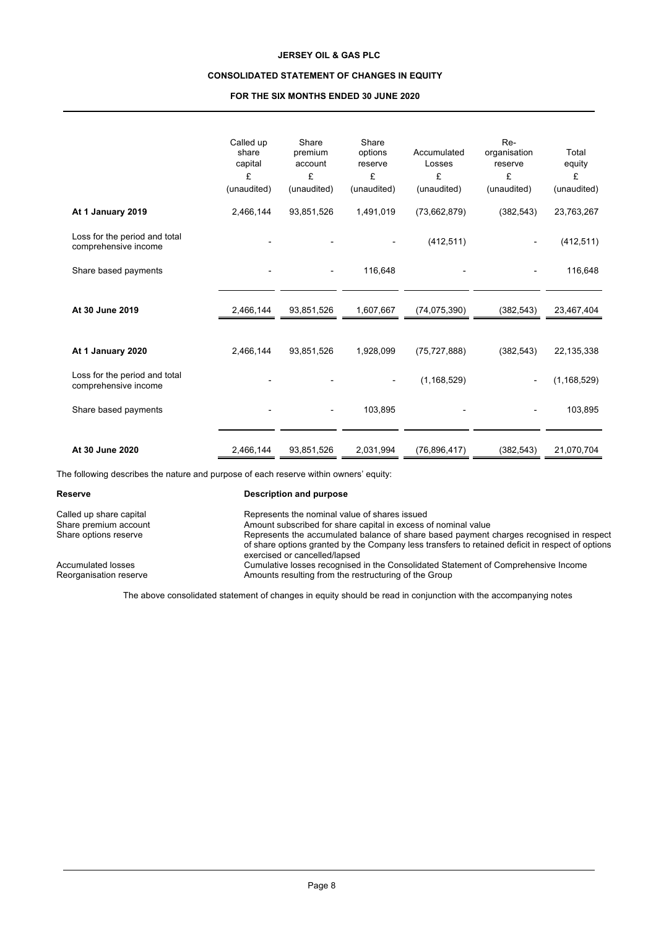# **CONSOLIDATED STATEMENT OF CHANGES IN EQUITY**

## **FOR THE SIX MONTHS ENDED 30 JUNE 2020**

|                                                       | Called up<br>share<br>capital<br>£<br>(unaudited) | Share<br>premium<br>account<br>£<br>(unaudited) | Share<br>options<br>reserve<br>£<br>(unaudited) | Accumulated<br>Losses<br>£<br>(unaudited) | Re-<br>organisation<br>reserve<br>£<br>(unaudited) | Total<br>equity<br>£<br>(unaudited) |
|-------------------------------------------------------|---------------------------------------------------|-------------------------------------------------|-------------------------------------------------|-------------------------------------------|----------------------------------------------------|-------------------------------------|
| At 1 January 2019                                     | 2,466,144                                         | 93,851,526                                      | 1,491,019                                       | (73,662,879)                              | (382, 543)                                         | 23,763,267                          |
| Loss for the period and total<br>comprehensive income |                                                   |                                                 |                                                 | (412, 511)                                |                                                    | (412, 511)                          |
| Share based payments                                  |                                                   | $\overline{\phantom{a}}$                        | 116,648                                         |                                           | ٠                                                  | 116,648                             |
|                                                       |                                                   |                                                 |                                                 |                                           |                                                    |                                     |
| At 30 June 2019                                       | 2,466,144                                         | 93,851,526                                      | 1,607,667                                       | (74, 075, 390)                            | (382, 543)                                         | 23,467,404                          |
|                                                       |                                                   |                                                 |                                                 |                                           |                                                    |                                     |
| At 1 January 2020                                     | 2,466,144                                         | 93,851,526                                      | 1,928,099                                       | (75, 727, 888)                            | (382, 543)                                         | 22,135,338                          |
| Loss for the period and total<br>comprehensive income |                                                   |                                                 |                                                 | (1, 168, 529)                             |                                                    | (1, 168, 529)                       |
| Share based payments                                  |                                                   |                                                 | 103,895                                         |                                           |                                                    | 103,895                             |
| At 30 June 2020                                       | 2,466,144                                         | 93,851,526                                      | 2,031,994                                       | (76, 896, 417)                            | (382, 543)                                         | 21,070,704                          |

The following describes the nature and purpose of each reserve within owners' equity:

### **Reserve Description and purpose**

Called up share capital **Represents the nominal value of shares issued**<br>
Represents the nominal value of share capital in excess of the non-Share premium account **Amount subscribed for share capital in excess of nominal value**<br>
Share options reserve **Alternative Share capital in excess of nominal value**<br>
Represents the accumulated balance of share based paymen Represents the accumulated balance of share based payment charges recognised in respect of share options granted by the Company less transfers to retained deficit in respect of options exercised or cancelled/lapsed Accumulated losses **Cumulative losses recognised in the Consolidated Statement of Comprehensive Income**<br>Reorganisation reserve **Reorganisation** Amounts resulting from the restructuring of the Group Amounts resulting from the restructuring of the Group

The above consolidated statement of changes in equity should be read in conjunction with the accompanying notes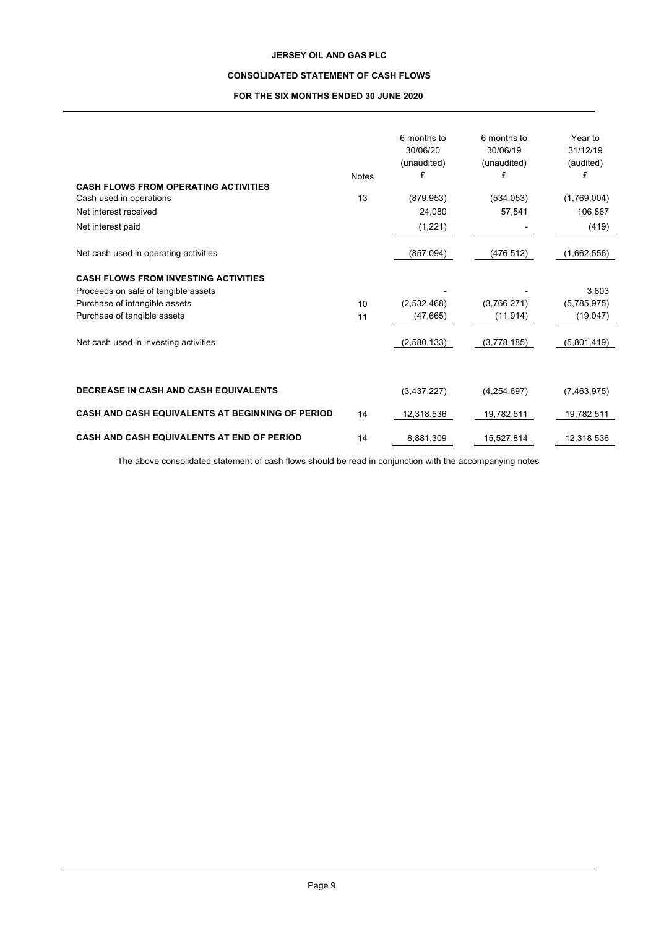# **CONSOLIDATED STATEMENT OF CASH FLOWS**

# **FOR THE SIX MONTHS ENDED 30 JUNE 2020**

|                                                         |              | 6 months to | 6 months to | Year to     |
|---------------------------------------------------------|--------------|-------------|-------------|-------------|
|                                                         |              | 30/06/20    | 30/06/19    | 31/12/19    |
|                                                         |              | (unaudited) | (unaudited) | (audited)   |
|                                                         | <b>Notes</b> | £           | £           | £           |
| <b>CASH FLOWS FROM OPERATING ACTIVITIES</b>             |              |             |             |             |
| Cash used in operations                                 | 13           | (879, 953)  | (534, 053)  | (1,769,004) |
| Net interest received                                   |              | 24,080      | 57,541      | 106,867     |
| Net interest paid                                       |              | (1, 221)    |             | (419)       |
| Net cash used in operating activities                   |              | (857,094)   | (476, 512)  | (1,662,556) |
| <b>CASH FLOWS FROM INVESTING ACTIVITIES</b>             |              |             |             |             |
| Proceeds on sale of tangible assets                     |              |             |             | 3,603       |
| Purchase of intangible assets                           | 10           | (2,532,468) | (3,766,271) | (5,785,975) |
| Purchase of tangible assets                             | 11           | (47, 665)   | (11, 914)   | (19,047)    |
| Net cash used in investing activities                   |              | (2,580,133) | (3,778,185) | (5,801,419) |
|                                                         |              |             |             |             |
|                                                         |              |             |             |             |
| <b>DECREASE IN CASH AND CASH EQUIVALENTS</b>            |              | (3,437,227) | (4,254,697) | (7,463,975) |
| <b>CASH AND CASH EQUIVALENTS AT BEGINNING OF PERIOD</b> | 14           | 12,318,536  | 19,782,511  | 19,782,511  |
| CASH AND CASH EQUIVALENTS AT END OF PERIOD              | 14           | 8,881,309   | 15,527,814  | 12,318,536  |

The above consolidated statement of cash flows should be read in conjunction with the accompanying notes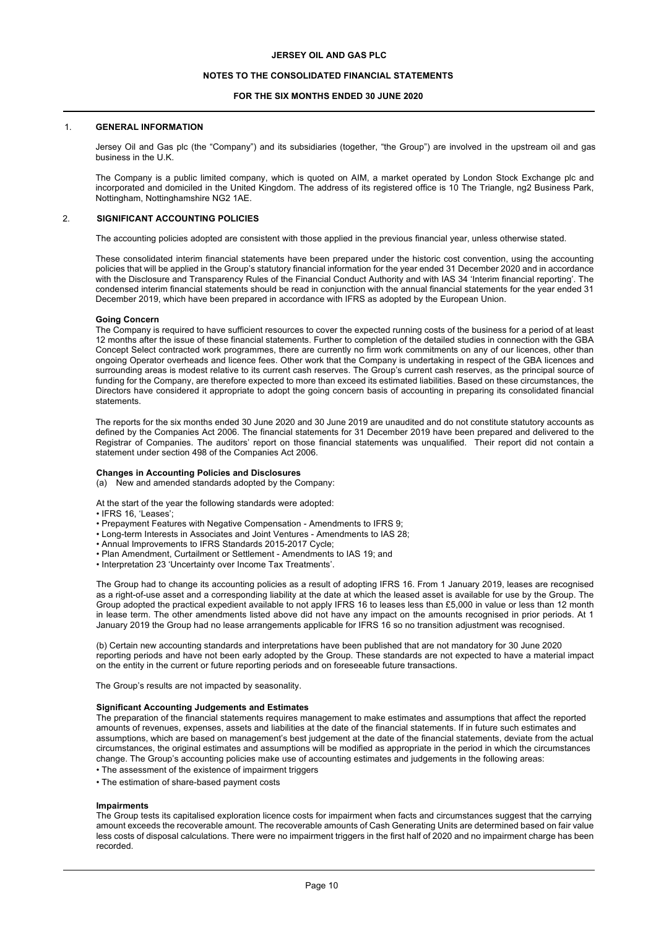## **NOTES TO THE CONSOLIDATED FINANCIAL STATEMENTS**

## **FOR THE SIX MONTHS ENDED 30 JUNE 2020**

#### 1. **GENERAL INFORMATION**

Jersey Oil and Gas plc (the "Company") and its subsidiaries (together, "the Group") are involved in the upstream oil and gas business in the U.K.

The Company is a public limited company, which is quoted on AIM, a market operated by London Stock Exchange plc and incorporated and domiciled in the United Kingdom. The address of its registered office is 10 The Triangle, ng2 Business Park, Nottingham, Nottinghamshire NG2 1AE.

#### 2. **SIGNIFICANT ACCOUNTING POLICIES**

The accounting policies adopted are consistent with those applied in the previous financial year, unless otherwise stated.

These consolidated interim financial statements have been prepared under the historic cost convention, using the accounting policies that will be applied in the Group's statutory financial information for the year ended 31 December 2020 and in accordance with the Disclosure and Transparency Rules of the Financial Conduct Authority and with IAS 34 'Interim financial reporting'. The condensed interim financial statements should be read in conjunction with the annual financial statements for the year ended 31 December 2019, which have been prepared in accordance with IFRS as adopted by the European Union.

#### **Going Concern**

The Company is required to have sufficient resources to cover the expected running costs of the business for a period of at least 12 months after the issue of these financial statements. Further to completion of the detailed studies in connection with the GBA Concept Select contracted work programmes, there are currently no firm work commitments on any of our licences, other than ongoing Operator overheads and licence fees. Other work that the Company is undertaking in respect of the GBA licences and surrounding areas is modest relative to its current cash reserves. The Group's current cash reserves, as the principal source of funding for the Company, are therefore expected to more than exceed its estimated liabilities. Based on these circumstances, the Directors have considered it appropriate to adopt the going concern basis of accounting in preparing its consolidated financial statements.

The reports for the six months ended 30 June 2020 and 30 June 2019 are unaudited and do not constitute statutory accounts as defined by the Companies Act 2006. The financial statements for 31 December 2019 have been prepared and delivered to the Registrar of Companies. The auditors' report on those financial statements was unqualified. Their report did not contain a statement under section 498 of the Companies Act 2006.

#### **Changes in Accounting Policies and Disclosures**

(a) New and amended standards adopted by the Company:

At the start of the year the following standards were adopted:

• IFRS 16, 'Leases';

- Prepayment Features with Negative Compensation Amendments to IFRS 9;
- Long-term Interests in Associates and Joint Ventures Amendments to IAS 28;
- Annual Improvements to IFRS Standards 2015-2017 Cycle;
- Plan Amendment, Curtailment or Settlement Amendments to IAS 19; and
- Interpretation 23 'Uncertainty over Income Tax Treatments'.

The Group had to change its accounting policies as a result of adopting IFRS 16. From 1 January 2019, leases are recognised as a right-of-use asset and a corresponding liability at the date at which the leased asset is available for use by the Group. The Group adopted the practical expedient available to not apply IFRS 16 to leases less than £5,000 in value or less than 12 month in lease term. The other amendments listed above did not have any impact on the amounts recognised in prior periods. At 1 January 2019 the Group had no lease arrangements applicable for IFRS 16 so no transition adjustment was recognised.

(b) Certain new accounting standards and interpretations have been published that are not mandatory for 30 June 2020 reporting periods and have not been early adopted by the Group. These standards are not expected to have a material impact on the entity in the current or future reporting periods and on foreseeable future transactions.

The Group's results are not impacted by seasonality.

#### **Significant Accounting Judgements and Estimates**

The preparation of the financial statements requires management to make estimates and assumptions that affect the reported amounts of revenues, expenses, assets and liabilities at the date of the financial statements. If in future such estimates and assumptions, which are based on management's best judgement at the date of the financial statements, deviate from the actual circumstances, the original estimates and assumptions will be modified as appropriate in the period in which the circumstances change. The Group's accounting policies make use of accounting estimates and judgements in the following areas:

- The assessment of the existence of impairment triggers
- The estimation of share-based payment costs

#### **Impairments**

The Group tests its capitalised exploration licence costs for impairment when facts and circumstances suggest that the carrying amount exceeds the recoverable amount. The recoverable amounts of Cash Generating Units are determined based on fair value less costs of disposal calculations. There were no impairment triggers in the first half of 2020 and no impairment charge has been recorded.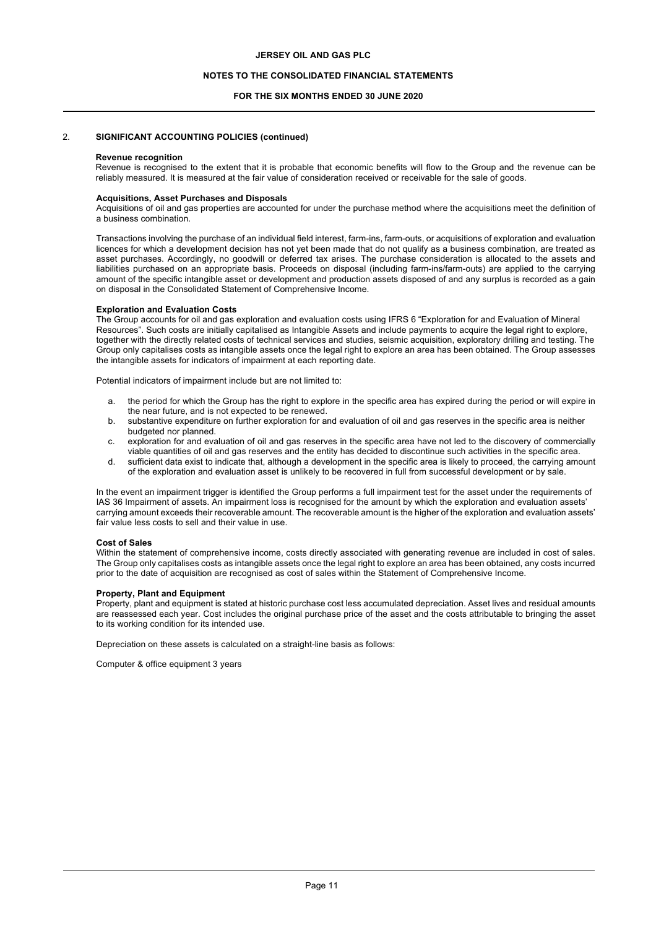### **NOTES TO THE CONSOLIDATED FINANCIAL STATEMENTS**

### **FOR THE SIX MONTHS ENDED 30 JUNE 2020**

### 2. **SIGNIFICANT ACCOUNTING POLICIES (continued)**

#### **Revenue recognition**

Revenue is recognised to the extent that it is probable that economic benefits will flow to the Group and the revenue can be reliably measured. It is measured at the fair value of consideration received or receivable for the sale of goods.

# **Acquisitions, Asset Purchases and Disposals**

Acquisitions of oil and gas properties are accounted for under the purchase method where the acquisitions meet the definition of a business combination.

Transactions involving the purchase of an individual field interest, farm-ins, farm-outs, or acquisitions of exploration and evaluation licences for which a development decision has not yet been made that do not qualify as a business combination, are treated as asset purchases. Accordingly, no goodwill or deferred tax arises. The purchase consideration is allocated to the assets and liabilities purchased on an appropriate basis. Proceeds on disposal (including farm-ins/farm-outs) are applied to the carrying amount of the specific intangible asset or development and production assets disposed of and any surplus is recorded as a gain on disposal in the Consolidated Statement of Comprehensive Income.

### **Exploration and Evaluation Costs**

The Group accounts for oil and gas exploration and evaluation costs using IFRS 6 "Exploration for and Evaluation of Mineral Resources". Such costs are initially capitalised as Intangible Assets and include payments to acquire the legal right to explore, together with the directly related costs of technical services and studies, seismic acquisition, exploratory drilling and testing. The Group only capitalises costs as intangible assets once the legal right to explore an area has been obtained. The Group assesses the intangible assets for indicators of impairment at each reporting date.

Potential indicators of impairment include but are not limited to:

- a. the period for which the Group has the right to explore in the specific area has expired during the period or will expire in the near future, and is not expected to be renewed.
- b. substantive expenditure on further exploration for and evaluation of oil and gas reserves in the specific area is neither budgeted nor planned.
- c. exploration for and evaluation of oil and gas reserves in the specific area have not led to the discovery of commercially viable quantities of oil and gas reserves and the entity has decided to discontinue such activities in the specific area.
- d. sufficient data exist to indicate that, although a development in the specific area is likely to proceed, the carrying amount of the exploration and evaluation asset is unlikely to be recovered in full from successful development or by sale.

In the event an impairment trigger is identified the Group performs a full impairment test for the asset under the requirements of IAS 36 Impairment of assets. An impairment loss is recognised for the amount by which the exploration and evaluation assets' carrying amount exceeds their recoverable amount. The recoverable amount is the higher of the exploration and evaluation assets' fair value less costs to sell and their value in use.

#### **Cost of Sales**

Within the statement of comprehensive income, costs directly associated with generating revenue are included in cost of sales. The Group only capitalises costs as intangible assets once the legal right to explore an area has been obtained, any costs incurred prior to the date of acquisition are recognised as cost of sales within the Statement of Comprehensive Income.

# **Property, Plant and Equipment**

Property, plant and equipment is stated at historic purchase cost less accumulated depreciation. Asset lives and residual amounts are reassessed each year. Cost includes the original purchase price of the asset and the costs attributable to bringing the asset to its working condition for its intended use.

Depreciation on these assets is calculated on a straight-line basis as follows:

Computer & office equipment 3 years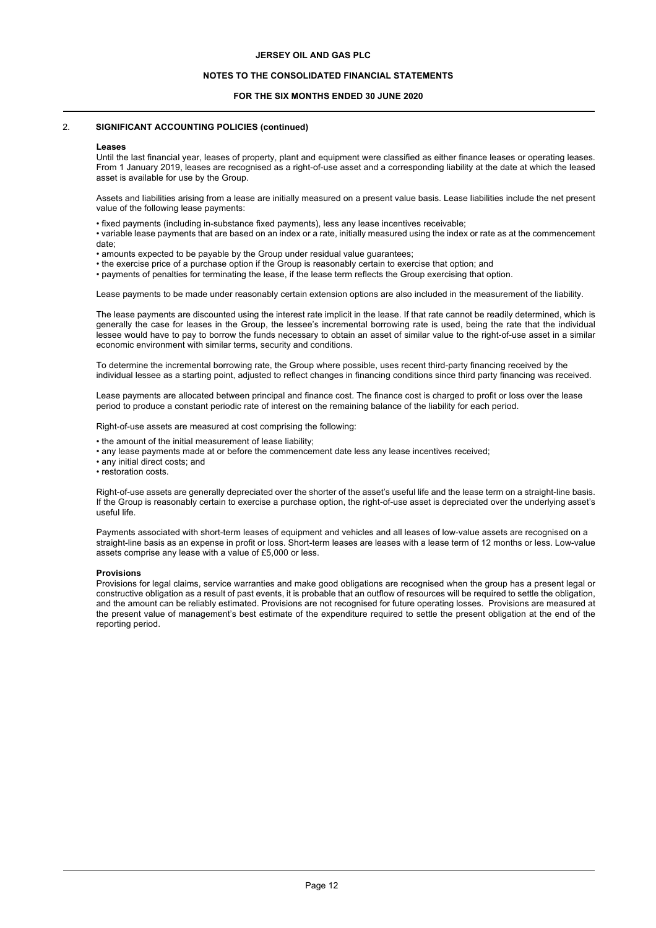## **NOTES TO THE CONSOLIDATED FINANCIAL STATEMENTS**

## **FOR THE SIX MONTHS ENDED 30 JUNE 2020**

## 2. **SIGNIFICANT ACCOUNTING POLICIES (continued)**

#### **Leases**

Until the last financial year, leases of property, plant and equipment were classified as either finance leases or operating leases. From 1 January 2019, leases are recognised as a right-of-use asset and a corresponding liability at the date at which the leased asset is available for use by the Group.

Assets and liabilities arising from a lease are initially measured on a present value basis. Lease liabilities include the net present value of the following lease payments:

• fixed payments (including in-substance fixed payments), less any lease incentives receivable;

• variable lease payments that are based on an index or a rate, initially measured using the index or rate as at the commencement date;

- amounts expected to be payable by the Group under residual value guarantees;
- the exercise price of a purchase option if the Group is reasonably certain to exercise that option; and
- payments of penalties for terminating the lease, if the lease term reflects the Group exercising that option.

Lease payments to be made under reasonably certain extension options are also included in the measurement of the liability.

The lease payments are discounted using the interest rate implicit in the lease. If that rate cannot be readily determined, which is generally the case for leases in the Group, the lessee's incremental borrowing rate is used, being the rate that the individual lessee would have to pay to borrow the funds necessary to obtain an asset of similar value to the right-of-use asset in a similar economic environment with similar terms, security and conditions.

To determine the incremental borrowing rate, the Group where possible, uses recent third-party financing received by the individual lessee as a starting point, adjusted to reflect changes in financing conditions since third party financing was received.

Lease payments are allocated between principal and finance cost. The finance cost is charged to profit or loss over the lease period to produce a constant periodic rate of interest on the remaining balance of the liability for each period.

Right-of-use assets are measured at cost comprising the following:

- the amount of the initial measurement of lease liability;
- any lease payments made at or before the commencement date less any lease incentives received;
- any initial direct costs; and
- restoration costs.

Right-of-use assets are generally depreciated over the shorter of the asset's useful life and the lease term on a straight-line basis. If the Group is reasonably certain to exercise a purchase option, the right-of-use asset is depreciated over the underlying asset's useful life.

Payments associated with short-term leases of equipment and vehicles and all leases of low-value assets are recognised on a straight-line basis as an expense in profit or loss. Short-term leases are leases with a lease term of 12 months or less. Low-value assets comprise any lease with a value of £5,000 or less.

## **Provisions**

Provisions for legal claims, service warranties and make good obligations are recognised when the group has a present legal or constructive obligation as a result of past events, it is probable that an outflow of resources will be required to settle the obligation, and the amount can be reliably estimated. Provisions are not recognised for future operating losses. Provisions are measured at the present value of management's best estimate of the expenditure required to settle the present obligation at the end of the reporting period.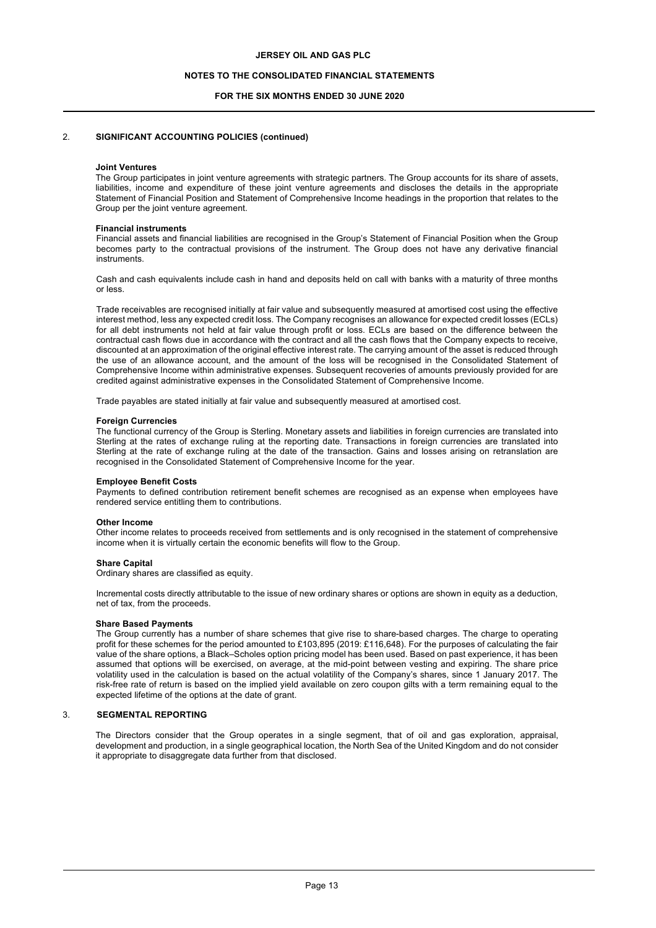### **NOTES TO THE CONSOLIDATED FINANCIAL STATEMENTS**

### **FOR THE SIX MONTHS ENDED 30 JUNE 2020**

## 2. **SIGNIFICANT ACCOUNTING POLICIES (continued)**

#### **Joint Ventures**

The Group participates in joint venture agreements with strategic partners. The Group accounts for its share of assets, liabilities, income and expenditure of these joint venture agreements and discloses the details in the appropriate Statement of Financial Position and Statement of Comprehensive Income headings in the proportion that relates to the Group per the joint venture agreement.

#### **Financial instruments**

Financial assets and financial liabilities are recognised in the Group's Statement of Financial Position when the Group becomes party to the contractual provisions of the instrument. The Group does not have any derivative financial instruments.

Cash and cash equivalents include cash in hand and deposits held on call with banks with a maturity of three months or less.

Trade receivables are recognised initially at fair value and subsequently measured at amortised cost using the effective interest method, less any expected credit loss. The Company recognises an allowance for expected credit losses (ECLs) for all debt instruments not held at fair value through profit or loss. ECLs are based on the difference between the contractual cash flows due in accordance with the contract and all the cash flows that the Company expects to receive, discounted at an approximation of the original effective interest rate. The carrying amount of the asset is reduced through the use of an allowance account, and the amount of the loss will be recognised in the Consolidated Statement of Comprehensive Income within administrative expenses. Subsequent recoveries of amounts previously provided for are credited against administrative expenses in the Consolidated Statement of Comprehensive Income.

Trade payables are stated initially at fair value and subsequently measured at amortised cost.

#### **Foreign Currencies**

The functional currency of the Group is Sterling. Monetary assets and liabilities in foreign currencies are translated into Sterling at the rates of exchange ruling at the reporting date. Transactions in foreign currencies are translated into Sterling at the rate of exchange ruling at the date of the transaction. Gains and losses arising on retranslation are recognised in the Consolidated Statement of Comprehensive Income for the year.

#### **Employee Benefit Costs**

Payments to defined contribution retirement benefit schemes are recognised as an expense when employees have rendered service entitling them to contributions.

#### **Other Income**

Other income relates to proceeds received from settlements and is only recognised in the statement of comprehensive income when it is virtually certain the economic benefits will flow to the Group.

#### **Share Capital**

Ordinary shares are classified as equity.

Incremental costs directly attributable to the issue of new ordinary shares or options are shown in equity as a deduction, net of tax, from the proceeds.

#### **Share Based Payments**

The Group currently has a number of share schemes that give rise to share-based charges. The charge to operating profit for these schemes for the period amounted to £103,895 (2019: £116,648). For the purposes of calculating the fair value of the share options, a Black–Scholes option pricing model has been used. Based on past experience, it has been assumed that options will be exercised, on average, at the mid-point between vesting and expiring. The share price volatility used in the calculation is based on the actual volatility of the Company's shares, since 1 January 2017. The risk-free rate of return is based on the implied yield available on zero coupon gilts with a term remaining equal to the expected lifetime of the options at the date of grant.

#### 3. **SEGMENTAL REPORTING**

The Directors consider that the Group operates in a single segment, that of oil and gas exploration, appraisal, development and production, in a single geographical location, the North Sea of the United Kingdom and do not consider it appropriate to disaggregate data further from that disclosed.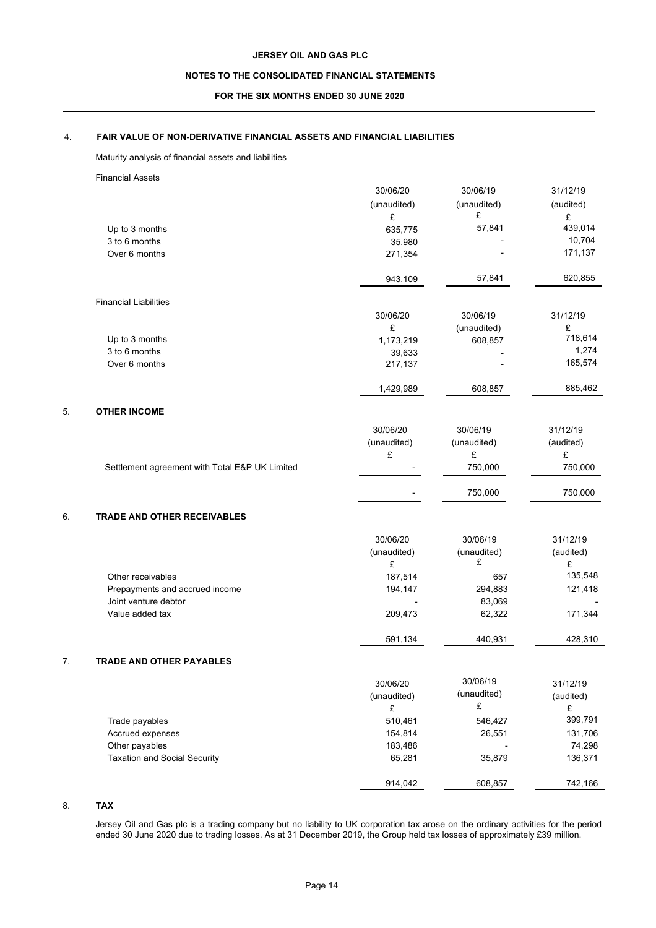# **NOTES TO THE CONSOLIDATED FINANCIAL STATEMENTS**

## **FOR THE SIX MONTHS ENDED 30 JUNE 2020**

# 4. **FAIR VALUE OF NON-DERIVATIVE FINANCIAL ASSETS AND FINANCIAL LIABILITIES**

# Maturity analysis of financial assets and liabilities

|    | <b>Financial Assets</b>                        |                  |             |                |
|----|------------------------------------------------|------------------|-------------|----------------|
|    |                                                | 30/06/20         | 30/06/19    | 31/12/19       |
|    |                                                | (unaudited)      | (unaudited) | (audited)      |
|    |                                                | £                | £           | £              |
|    | Up to 3 months                                 | 635,775          | 57,841      | 439,014        |
|    | 3 to 6 months                                  | 35,980           |             | 10,704         |
|    | Over 6 months                                  | 271,354          |             | 171,137        |
|    |                                                | 943,109          | 57,841      | 620,855        |
|    | <b>Financial Liabilities</b>                   |                  |             |                |
|    |                                                | 30/06/20         | 30/06/19    | 31/12/19       |
|    |                                                | £                | (unaudited) | £              |
|    | Up to 3 months                                 | 1,173,219        | 608,857     | 718,614        |
|    | 3 to 6 months                                  | 39,633           |             | 1,274          |
|    | Over 6 months                                  | 217,137          |             | 165,574        |
|    |                                                | 1,429,989        | 608,857     | 885,462        |
| 5. | <b>OTHER INCOME</b>                            |                  |             |                |
|    |                                                | 30/06/20         | 30/06/19    | 31/12/19       |
|    |                                                | (unaudited)      | (unaudited) | (audited)      |
|    |                                                | £                | £           | £              |
|    | Settlement agreement with Total E&P UK Limited |                  | 750,000     | 750,000        |
|    |                                                |                  | 750,000     | 750,000        |
| 6. | <b>TRADE AND OTHER RECEIVABLES</b>             |                  |             |                |
|    |                                                | 30/06/20         | 30/06/19    | 31/12/19       |
|    |                                                | (unaudited)      | (unaudited) | (audited)      |
|    |                                                | £                | £           | £              |
|    | Other receivables                              | 187,514          | 657         | 135,548        |
|    | Prepayments and accrued income                 | 194,147          | 294,883     | 121,418        |
|    | Joint venture debtor                           |                  | 83,069      |                |
|    | Value added tax                                | 209,473          | 62,322      | 171,344        |
|    |                                                | 591,134          | 440,931     | 428,310        |
|    | <b>TRADE AND OTHER PAYABLES</b>                |                  |             |                |
|    |                                                | 30/06/20         | 30/06/19    | 31/12/19       |
|    |                                                |                  | (unaudited) |                |
|    |                                                | (unaudited)<br>£ | £           | (audited)<br>£ |
|    | Trade payables                                 | 510,461          | 546,427     | 399,791        |
|    | Accrued expenses                               | 154,814          | 26,551      | 131,706        |
|    | Other payables                                 | 183,486          |             | 74,298         |
|    | <b>Taxation and Social Security</b>            | 65,281           | 35,879      | 136,371        |
|    |                                                | 914,042          | 608,857     | 742,166        |

# 8. **TAX**

Jersey Oil and Gas plc is a trading company but no liability to UK corporation tax arose on the ordinary activities for the period ended 30 June 2020 due to trading losses. As at 31 December 2019, the Group held tax losses of approximately £39 million.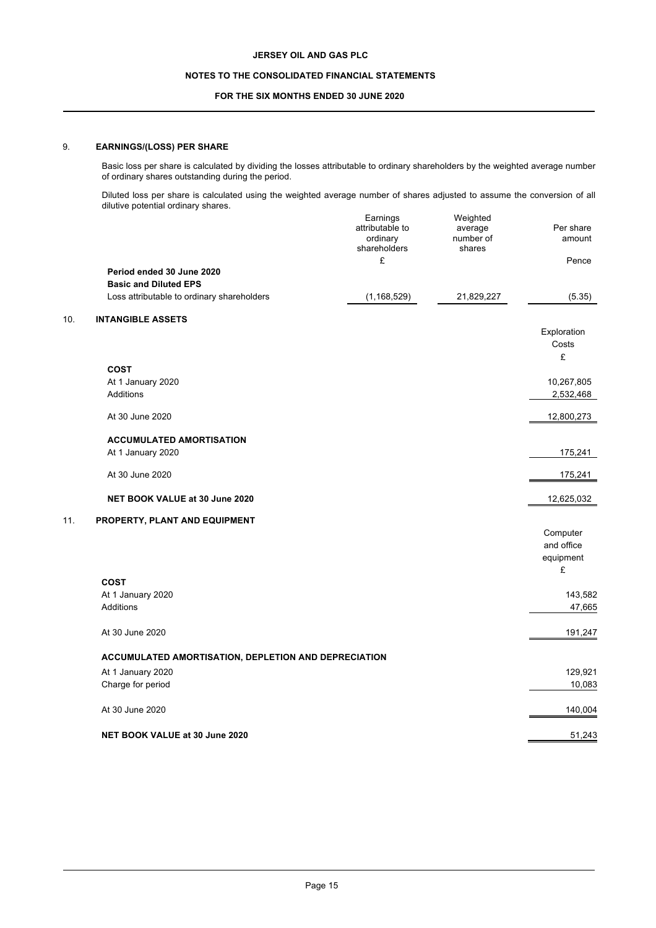# **NOTES TO THE CONSOLIDATED FINANCIAL STATEMENTS**

# **FOR THE SIX MONTHS ENDED 30 JUNE 2020**

# 9. **EARNINGS/(LOSS) PER SHARE**

Basic loss per share is calculated by dividing the losses attributable to ordinary shareholders by the weighted average number of ordinary shares outstanding during the period.

Diluted loss per share is calculated using the weighted average number of shares adjusted to assume the conversion of all dilutive potential ordinary shares.

|     |                                                      | Earnings<br>attributable to<br>ordinary<br>shareholders<br>£ | Weighted<br>average<br>number of<br>shares | Per share<br>amount<br>Pence |
|-----|------------------------------------------------------|--------------------------------------------------------------|--------------------------------------------|------------------------------|
|     | Period ended 30 June 2020                            |                                                              |                                            |                              |
|     | <b>Basic and Diluted EPS</b>                         |                                                              |                                            |                              |
|     | Loss attributable to ordinary shareholders           | (1, 168, 529)                                                | 21,829,227                                 | (5.35)                       |
| 10. | <b>INTANGIBLE ASSETS</b>                             |                                                              |                                            |                              |
|     |                                                      |                                                              |                                            | Exploration<br>Costs         |
|     | <b>COST</b>                                          |                                                              |                                            | £                            |
|     | At 1 January 2020                                    |                                                              |                                            | 10,267,805                   |
|     | <b>Additions</b>                                     |                                                              |                                            | 2,532,468                    |
|     | At 30 June 2020                                      |                                                              |                                            | 12,800,273                   |
|     | <b>ACCUMULATED AMORTISATION</b>                      |                                                              |                                            |                              |
|     | At 1 January 2020                                    |                                                              |                                            | 175,241                      |
|     | At 30 June 2020                                      |                                                              |                                            | 175,241                      |
|     | NET BOOK VALUE at 30 June 2020                       |                                                              |                                            | 12,625,032                   |
| 11. | PROPERTY, PLANT AND EQUIPMENT                        |                                                              |                                            |                              |
|     |                                                      |                                                              |                                            | Computer                     |
|     |                                                      |                                                              |                                            | and office                   |
|     |                                                      |                                                              |                                            | equipment                    |
|     |                                                      |                                                              |                                            | £                            |
|     | <b>COST</b>                                          |                                                              |                                            |                              |
|     | At 1 January 2020                                    |                                                              |                                            | 143,582                      |
|     | Additions                                            |                                                              |                                            | 47,665                       |
|     | At 30 June 2020                                      |                                                              |                                            | 191,247                      |
|     | ACCUMULATED AMORTISATION, DEPLETION AND DEPRECIATION |                                                              |                                            |                              |
|     | At 1 January 2020                                    |                                                              |                                            | 129,921                      |
|     | Charge for period                                    |                                                              |                                            | 10,083                       |
|     | At 30 June 2020                                      |                                                              |                                            | 140,004                      |
|     | NET BOOK VALUE at 30 June 2020                       |                                                              |                                            | 51,243                       |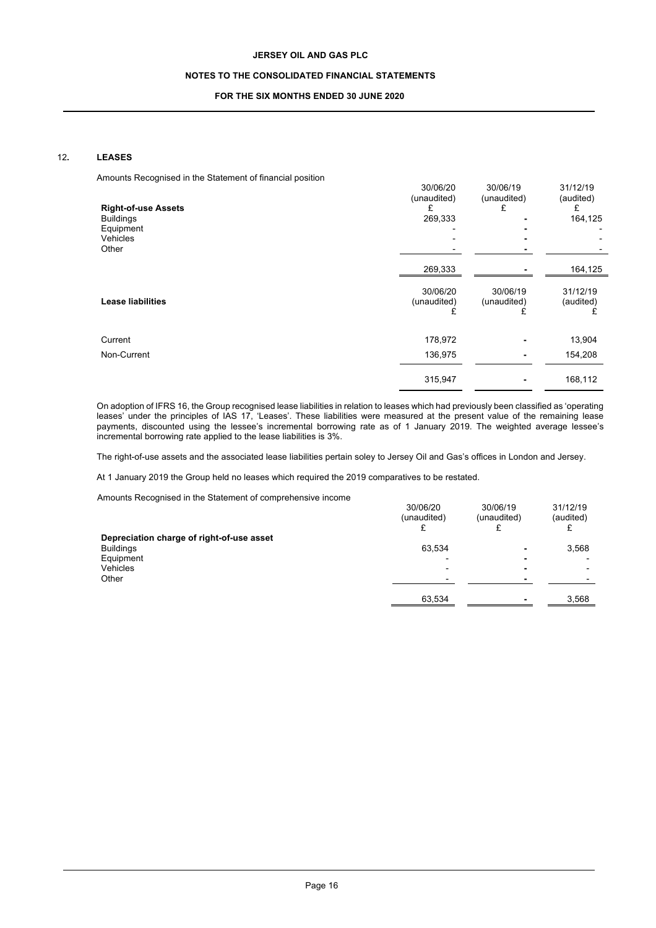## **NOTES TO THE CONSOLIDATED FINANCIAL STATEMENTS**

## **FOR THE SIX MONTHS ENDED 30 JUNE 2020**

# 12**. LEASES**

Amounts Recognised in the Statement of financial position

| anodrito i tooogniood in tho otditoniont or imamoial pooltion.<br><b>Right-of-use Assets</b><br><b>Buildings</b><br>Equipment<br>Vehicles<br>Other | 30/06/20<br>(unaudited)<br>£<br>269,333 | 30/06/19<br>(unaudited)<br>£ | 31/12/19<br>(audited)<br>£<br>164,125 |
|----------------------------------------------------------------------------------------------------------------------------------------------------|-----------------------------------------|------------------------------|---------------------------------------|
|                                                                                                                                                    | 269,333                                 |                              | 164,125                               |
| <b>Lease liabilities</b>                                                                                                                           | 30/06/20<br>(unaudited)                 | 30/06/19<br>(unaudited)      | 31/12/19<br>(audited)                 |
| Current                                                                                                                                            | 178,972                                 |                              | 13,904                                |
| Non-Current                                                                                                                                        | 136,975                                 |                              | 154,208                               |
|                                                                                                                                                    | 315,947                                 |                              | 168,112                               |

On adoption of IFRS 16, the Group recognised lease liabilities in relation to leases which had previously been classified as 'operating leases' under the principles of IAS 17, 'Leases'. These liabilities were measured at the present value of the remaining lease payments, discounted using the lessee's incremental borrowing rate as of 1 January 2019. The weighted average lessee's incremental borrowing rate applied to the lease liabilities is 3%.

The right-of-use assets and the associated lease liabilities pertain soley to Jersey Oil and Gas's offices in London and Jersey.

At 1 January 2019 the Group held no leases which required the 2019 comparatives to be restated.

Amounts Recognised in the Statement of comprehensive income

|                                           | 30/06/20<br>(unaudited)  | 30/06/19<br>(unaudited) | 31/12/19<br>(audited) |
|-------------------------------------------|--------------------------|-------------------------|-----------------------|
| Depreciation charge of right-of-use asset |                          |                         |                       |
| <b>Buildings</b>                          | 63,534                   | ۰                       | 3,568                 |
| Equipment                                 | ۰                        |                         |                       |
| Vehicles                                  | $\overline{\phantom{0}}$ | -                       |                       |
| Other                                     |                          |                         |                       |
|                                           | 63,534                   |                         | 3,568                 |
|                                           |                          |                         |                       |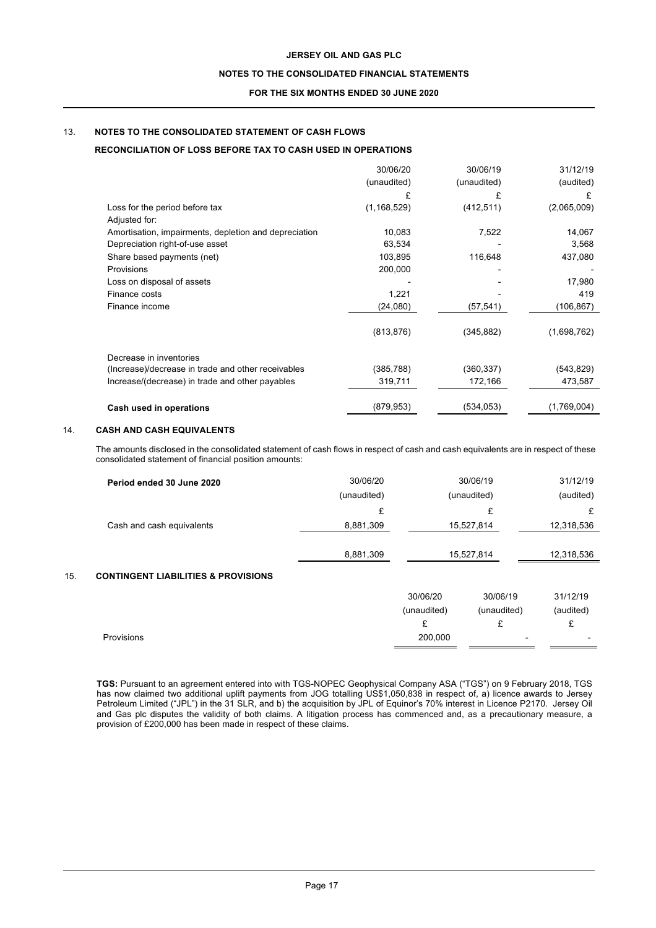# **NOTES TO THE CONSOLIDATED FINANCIAL STATEMENTS**

### **FOR THE SIX MONTHS ENDED 30 JUNE 2020**

# 13. **NOTES TO THE CONSOLIDATED STATEMENT OF CASH FLOWS**

# **RECONCILIATION OF LOSS BEFORE TAX TO CASH USED IN OPERATIONS**

|                                                       | 30/06/20      | 30/06/19    | 31/12/19    |
|-------------------------------------------------------|---------------|-------------|-------------|
|                                                       | (unaudited)   | (unaudited) | (audited)   |
|                                                       |               |             | £           |
| Loss for the period before tax                        | (1, 168, 529) | (412, 511)  | (2,065,009) |
| Adjusted for:                                         |               |             |             |
| Amortisation, impairments, depletion and depreciation | 10,083        | 7,522       | 14,067      |
| Depreciation right-of-use asset                       | 63,534        |             | 3,568       |
| Share based payments (net)                            | 103,895       | 116,648     | 437,080     |
| Provisions                                            | 200,000       |             |             |
| Loss on disposal of assets                            |               |             | 17,980      |
| Finance costs                                         | 1,221         |             | 419         |
| Finance income                                        | (24,080)      | (57, 541)   | (106, 867)  |
|                                                       | (813, 876)    | (345, 882)  | (1,698,762) |
| Decrease in inventories                               |               |             |             |
| (Increase)/decrease in trade and other receivables    | (385, 788)    | (360,337)   | (543, 829)  |
| Increase/(decrease) in trade and other payables       | 319,711       | 172,166     | 473,587     |
| Cash used in operations                               | (879, 953)    | (534, 053)  | (1,769,004) |

# 14. **CASH AND CASH EQUIVALENTS**

The amounts disclosed in the consolidated statement of cash flows in respect of cash and cash equivalents are in respect of these consolidated statement of financial position amounts:

|     | Period ended 30 June 2020                      | 30/06/20    |             | 30/06/19    | 31/12/19   |
|-----|------------------------------------------------|-------------|-------------|-------------|------------|
|     |                                                | (unaudited) |             | (unaudited) | (audited)  |
|     |                                                | £           |             | £           | £          |
|     | Cash and cash equivalents                      | 8,881,309   |             | 15,527,814  | 12,318,536 |
|     |                                                |             |             |             |            |
|     |                                                | 8,881,309   |             | 15,527,814  | 12,318,536 |
| 15. | <b>CONTINGENT LIABILITIES &amp; PROVISIONS</b> |             |             |             |            |
|     |                                                |             | 30/06/20    | 30/06/19    | 31/12/19   |
|     |                                                |             | (unaudited) | (unaudited) | (audited)  |
|     |                                                |             | £           | £           | £          |

**TGS:** Pursuant to an agreement entered into with TGS-NOPEC Geophysical Company ASA ("TGS") on 9 February 2018, TGS has now claimed two additional uplift payments from JOG totalling US\$1,050,838 in respect of, a) licence awards to Jersey Petroleum Limited ("JPL") in the 31 SLR, and b) the acquisition by JPL of Equinor's 70% interest in Licence P2170. Jersey Oil and Gas plc disputes the validity of both claims. A litigation process has commenced and, as a precautionary measure, a provision of £200,000 has been made in respect of these claims.

Provisions 200,000 - -